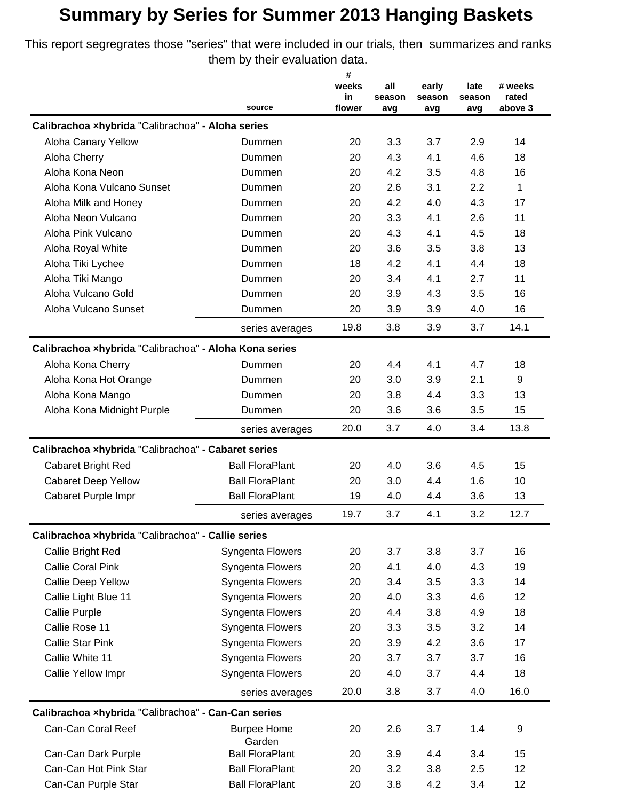This report segregrates those "series" that were included in our trials, then summarizes and ranks them by their evaluation data.

|                                                        |                                  | #            |               |               |               |                  |
|--------------------------------------------------------|----------------------------------|--------------|---------------|---------------|---------------|------------------|
|                                                        |                                  | weeks        | all           | early         | late          | # weeks          |
|                                                        | source                           | in<br>flower | season<br>avg | season<br>avg | season<br>avg | rated<br>above 3 |
| Calibrachoa xhybrida "Calibrachoa" - Aloha series      |                                  |              |               |               |               |                  |
| Aloha Canary Yellow                                    | Dummen                           | 20           | 3.3           | 3.7           | 2.9           | 14               |
| Aloha Cherry                                           | Dummen                           | 20           | 4.3           | 4.1           | 4.6           | 18               |
| Aloha Kona Neon                                        | Dummen                           | 20           | 4.2           | 3.5           | 4.8           | 16               |
| Aloha Kona Vulcano Sunset                              | Dummen                           | 20           | 2.6           | 3.1           | 2.2           | 1                |
| Aloha Milk and Honey                                   | Dummen                           | 20           | 4.2           | 4.0           | 4.3           | 17               |
| Aloha Neon Vulcano                                     | Dummen                           | 20           | 3.3           | 4.1           | 2.6           | 11               |
| Aloha Pink Vulcano                                     | Dummen                           | 20           | 4.3           | 4.1           | 4.5           | 18               |
| Aloha Royal White                                      | Dummen                           | 20           | 3.6           | 3.5           | 3.8           | 13               |
| Aloha Tiki Lychee                                      | Dummen                           | 18           | 4.2           | 4.1           | 4.4           | 18               |
| Aloha Tiki Mango                                       | Dummen                           | 20           | 3.4           | 4.1           | 2.7           | 11               |
| Aloha Vulcano Gold                                     | Dummen                           | 20           | 3.9           | 4.3           | 3.5           | 16               |
| Aloha Vulcano Sunset                                   | Dummen                           | 20           | 3.9           | 3.9           | 4.0           | 16               |
|                                                        | series averages                  | 19.8         | 3.8           | 3.9           | 3.7           | 14.1             |
| Calibrachoa xhybrida "Calibrachoa" - Aloha Kona series |                                  |              |               |               |               |                  |
| Aloha Kona Cherry                                      | Dummen                           | 20           | 4.4           | 4.1           | 4.7           | 18               |
| Aloha Kona Hot Orange                                  | Dummen                           | 20           | 3.0           | 3.9           | 2.1           | 9                |
| Aloha Kona Mango                                       | Dummen                           | 20           | 3.8           | 4.4           | 3.3           | 13               |
| Aloha Kona Midnight Purple                             | Dummen                           | 20           | 3.6           | 3.6           | 3.5           | 15               |
|                                                        | series averages                  | 20.0         | 3.7           | 4.0           | 3.4           | 13.8             |
| Calibrachoa xhybrida "Calibrachoa" - Cabaret series    |                                  |              |               |               |               |                  |
| <b>Cabaret Bright Red</b>                              | <b>Ball FloraPlant</b>           | 20           | 4.0           | 3.6           | 4.5           | 15               |
| <b>Cabaret Deep Yellow</b>                             | <b>Ball FloraPlant</b>           | 20           | 3.0           | 4.4           | 1.6           | 10               |
| Cabaret Purple Impr                                    | <b>Ball FloraPlant</b>           | 19           | 4.0           | 4.4           | 3.6           | 13               |
|                                                        | series averages                  | 19.7         | 3.7           | 4.1           | 3.2           | 12.7             |
| Calibrachoa xhybrida "Calibrachoa" - Callie series     |                                  |              |               |               |               |                  |
| Callie Bright Red                                      | <b>Syngenta Flowers</b>          | 20           | 3.7           | 3.8           | 3.7           | 16               |
| <b>Callie Coral Pink</b>                               | Syngenta Flowers                 | 20           | 4.1           | 4.0           | 4.3           | 19               |
| Callie Deep Yellow                                     | Syngenta Flowers                 | 20           | 3.4           | 3.5           | 3.3           | 14               |
| Callie Light Blue 11                                   | Syngenta Flowers                 | 20           | 4.0           | 3.3           | 4.6           | 12               |
| Callie Purple                                          | Syngenta Flowers                 | 20           | 4.4           | 3.8           | 4.9           | 18               |
| Callie Rose 11                                         | Syngenta Flowers                 | 20           | 3.3           | 3.5           | 3.2           | 14               |
| <b>Callie Star Pink</b>                                | Syngenta Flowers                 | 20           | 3.9           | 4.2           | 3.6           | 17               |
| Callie White 11                                        | Syngenta Flowers                 | 20           | 3.7           | 3.7           | 3.7           | 16               |
| Callie Yellow Impr                                     | Syngenta Flowers                 | 20           | 4.0           | 3.7           | 4.4           | 18               |
|                                                        | series averages                  | 20.0         | 3.8           | 3.7           | 4.0           | 16.0             |
| Calibrachoa xhybrida "Calibrachoa" - Can-Can series    |                                  |              |               |               |               |                  |
| Can-Can Coral Reef                                     | <b>Burpee Home</b>               | 20           | 2.6           | 3.7           | 1.4           | 9                |
| Can-Can Dark Purple                                    | Garden<br><b>Ball FloraPlant</b> | 20           | 3.9           | 4.4           | 3.4           | 15               |
| Can-Can Hot Pink Star                                  | <b>Ball FloraPlant</b>           | 20           | 3.2           | 3.8           | 2.5           | 12               |
| Can-Can Purple Star                                    | <b>Ball FloraPlant</b>           | 20           | 3.8           | 4.2           | 3.4           | 12               |
|                                                        |                                  |              |               |               |               |                  |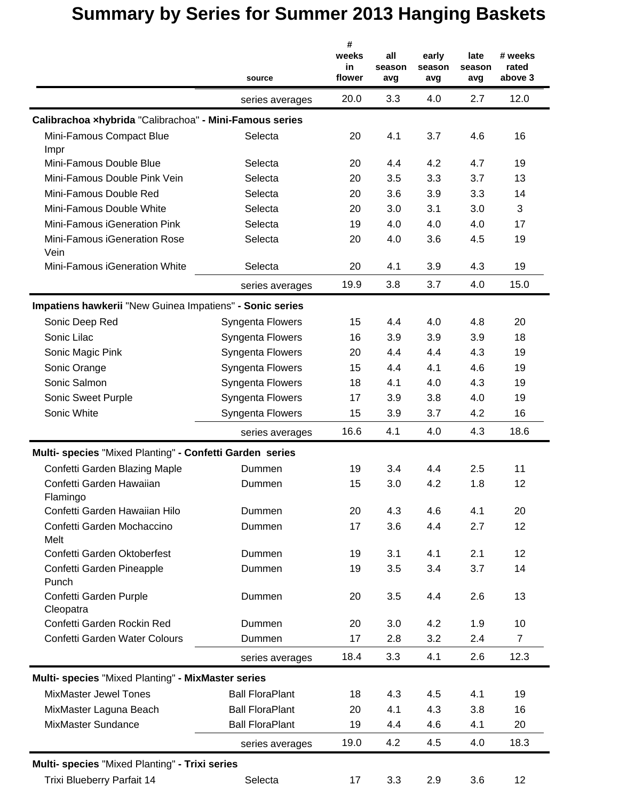|                                                          | source                 | #<br>weeks<br>in<br>flower | all<br>season<br>avg | early<br>season<br>avg | late<br>season<br>avg | # weeks<br>rated<br>above 3 |
|----------------------------------------------------------|------------------------|----------------------------|----------------------|------------------------|-----------------------|-----------------------------|
|                                                          | series averages        | 20.0                       | 3.3                  | 4.0                    | 2.7                   | 12.0                        |
| Calibrachoa xhybrida "Calibrachoa" - Mini-Famous series  |                        |                            |                      |                        |                       |                             |
| Mini-Famous Compact Blue<br>Impr                         | Selecta                | 20                         | 4.1                  | 3.7                    | 4.6                   | 16                          |
| Mini-Famous Double Blue                                  | Selecta                | 20                         | 4.4                  | 4.2                    | 4.7                   | 19                          |
| Mini-Famous Double Pink Vein                             | Selecta                | 20                         | 3.5                  | 3.3                    | 3.7                   | 13                          |
| Mini-Famous Double Red                                   | Selecta                | 20                         | 3.6                  | 3.9                    | 3.3                   | 14                          |
| Mini-Famous Double White                                 | Selecta                | 20                         | 3.0                  | 3.1                    | 3.0                   | 3                           |
| Mini-Famous iGeneration Pink                             | Selecta                | 19                         | 4.0                  | 4.0                    | 4.0                   | 17                          |
| Mini-Famous iGeneration Rose<br>Vein                     | Selecta                | 20                         | 4.0                  | 3.6                    | 4.5                   | 19                          |
| Mini-Famous iGeneration White                            | Selecta                | 20                         | 4.1                  | 3.9                    | 4.3                   | 19                          |
|                                                          | series averages        | 19.9                       | 3.8                  | 3.7                    | 4.0                   | 15.0                        |
| Impatiens hawkerii "New Guinea Impatiens" - Sonic series |                        |                            |                      |                        |                       |                             |
| Sonic Deep Red                                           | Syngenta Flowers       | 15                         | 4.4                  | 4.0                    | 4.8                   | 20                          |
| Sonic Lilac                                              | Syngenta Flowers       | 16                         | 3.9                  | 3.9                    | 3.9                   | 18                          |
| Sonic Magic Pink                                         | Syngenta Flowers       | 20                         | 4.4                  | 4.4                    | 4.3                   | 19                          |
| Sonic Orange                                             | Syngenta Flowers       | 15                         | 4.4                  | 4.1                    | 4.6                   | 19                          |
| Sonic Salmon                                             | Syngenta Flowers       | 18                         | 4.1                  | 4.0                    | 4.3                   | 19                          |
| Sonic Sweet Purple                                       | Syngenta Flowers       | 17                         | 3.9                  | 3.8                    | 4.0                   | 19                          |
| Sonic White                                              | Syngenta Flowers       | 15                         | 3.9                  | 3.7                    | 4.2                   | 16                          |
|                                                          | series averages        | 16.6                       | 4.1                  | 4.0                    | 4.3                   | 18.6                        |
| Multi- species "Mixed Planting" - Confetti Garden series |                        |                            |                      |                        |                       |                             |
| Confetti Garden Blazing Maple                            | Dummen                 | 19                         | 3.4                  | 4.4                    | 2.5                   | 11                          |
| Confetti Garden Hawaiian<br>Flamingo                     | Dummen                 | 15                         | 3.0                  | 4.2                    | 1.8                   | 12                          |
| Confetti Garden Hawaiian Hilo                            | Dummen                 | 20                         | 4.3                  | 4.6                    | 4.1                   | 20                          |
| Confetti Garden Mochaccino<br>Melt                       | Dummen                 | 17                         | 3.6                  | 4.4                    | 2.7                   | 12                          |
| Confetti Garden Oktoberfest                              | Dummen                 | 19                         | 3.1                  | 4.1                    | 2.1                   | 12                          |
| Confetti Garden Pineapple<br>Punch                       | Dummen                 | 19                         | 3.5                  | 3.4                    | 3.7                   | 14                          |
| Confetti Garden Purple<br>Cleopatra                      | Dummen                 | 20                         | 3.5                  | 4.4                    | 2.6                   | 13                          |
| Confetti Garden Rockin Red                               | Dummen                 | 20                         | 3.0                  | 4.2                    | 1.9                   | 10                          |
| Confetti Garden Water Colours                            | Dummen                 | 17                         | 2.8                  | 3.2                    | 2.4                   | $\overline{7}$              |
|                                                          | series averages        | 18.4                       | 3.3                  | 4.1                    | 2.6                   | 12.3                        |
| Multi- species "Mixed Planting" - MixMaster series       |                        |                            |                      |                        |                       |                             |
| <b>MixMaster Jewel Tones</b>                             | <b>Ball FloraPlant</b> | 18                         | 4.3                  | 4.5                    | 4.1                   | 19                          |
| MixMaster Laguna Beach                                   | <b>Ball FloraPlant</b> | 20                         | 4.1                  | 4.3                    | 3.8                   | 16                          |
| MixMaster Sundance                                       | <b>Ball FloraPlant</b> | 19                         | 4.4                  | 4.6                    | 4.1                   | 20                          |
|                                                          | series averages        | 19.0                       | 4.2                  | 4.5                    | 4.0                   | 18.3                        |
| Multi- species "Mixed Planting" - Trixi series           |                        |                            |                      |                        |                       |                             |
| Trixi Blueberry Parfait 14                               | Selecta                | 17                         | 3.3                  | 2.9                    | 3.6                   | 12                          |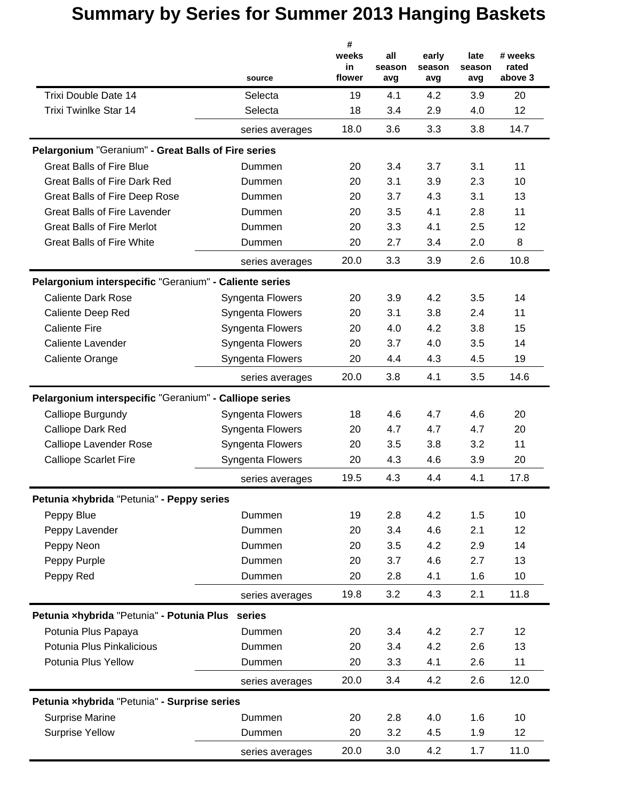|                                                        | source           | #<br>weeks<br>in<br>flower | all<br>season<br>avg | early<br>season<br>avg | late<br>season<br>avg | # weeks<br>rated<br>above 3 |
|--------------------------------------------------------|------------------|----------------------------|----------------------|------------------------|-----------------------|-----------------------------|
| Trixi Double Date 14                                   | Selecta          | 19                         | 4.1                  | 4.2                    | 3.9                   | 20                          |
| <b>Trixi Twinlke Star 14</b>                           | Selecta          | 18                         | 3.4                  | 2.9                    | 4.0                   | 12                          |
|                                                        | series averages  | 18.0                       | 3.6                  | 3.3                    | 3.8                   | 14.7                        |
| Pelargonium "Geranium" - Great Balls of Fire series    |                  |                            |                      |                        |                       |                             |
| <b>Great Balls of Fire Blue</b>                        | Dummen           | 20                         | 3.4                  | 3.7                    | 3.1                   | 11                          |
| <b>Great Balls of Fire Dark Red</b>                    | Dummen           | 20                         | 3.1                  | 3.9                    | 2.3                   | 10                          |
| Great Balls of Fire Deep Rose                          | Dummen           | 20                         | 3.7                  | 4.3                    | 3.1                   | 13                          |
| <b>Great Balls of Fire Lavender</b>                    | Dummen           | 20                         | 3.5                  | 4.1                    | 2.8                   | 11                          |
| <b>Great Balls of Fire Merlot</b>                      | Dummen           | 20                         | 3.3                  | 4.1                    | 2.5                   | 12                          |
| <b>Great Balls of Fire White</b>                       | Dummen           | 20                         | 2.7                  | 3.4                    | 2.0                   | 8                           |
|                                                        | series averages  | 20.0                       | 3.3                  | 3.9                    | 2.6                   | 10.8                        |
| Pelargonium interspecific "Geranium" - Caliente series |                  |                            |                      |                        |                       |                             |
| <b>Caliente Dark Rose</b>                              | Syngenta Flowers | 20                         | 3.9                  | 4.2                    | 3.5                   | 14                          |
| <b>Caliente Deep Red</b>                               | Syngenta Flowers | 20                         | 3.1                  | 3.8                    | 2.4                   | 11                          |
| <b>Caliente Fire</b>                                   | Syngenta Flowers | 20                         | 4.0                  | 4.2                    | 3.8                   | 15                          |
| <b>Caliente Lavender</b>                               | Syngenta Flowers | 20                         | 3.7                  | 4.0                    | 3.5                   | 14                          |
| Caliente Orange                                        | Syngenta Flowers | 20                         | 4.4                  | 4.3                    | 4.5                   | 19                          |
|                                                        | series averages  | 20.0                       | 3.8                  | 4.1                    | 3.5                   | 14.6                        |
| Pelargonium interspecific "Geranium" - Calliope series |                  |                            |                      |                        |                       |                             |
| Calliope Burgundy                                      | Syngenta Flowers | 18                         | 4.6                  | 4.7                    | 4.6                   | 20                          |
| Calliope Dark Red                                      | Syngenta Flowers | 20                         | 4.7                  | 4.7                    | 4.7                   | 20                          |
| <b>Calliope Lavender Rose</b>                          | Syngenta Flowers | 20                         | 3.5                  | 3.8                    | 3.2                   | 11                          |
| <b>Calliope Scarlet Fire</b>                           | Syngenta Flowers | 20                         | 4.3                  | 4.6                    | 3.9                   | 20                          |
|                                                        | series averages  | 19.5                       | 4.3                  | 4.4                    | 4.1                   | 17.8                        |
| Petunia xhybrida "Petunia" - Peppy series              |                  |                            |                      |                        |                       |                             |
| Peppy Blue                                             | Dummen           | 19                         | 2.8                  | 4.2                    | 1.5                   | 10                          |
| Peppy Lavender                                         | Dummen           | 20                         | 3.4                  | 4.6                    | 2.1                   | 12                          |
| Peppy Neon                                             | Dummen           | 20                         | 3.5                  | 4.2                    | 2.9                   | 14                          |
| Peppy Purple                                           | Dummen           | 20                         | 3.7                  | 4.6                    | 2.7                   | 13                          |
| Peppy Red                                              | Dummen           | 20                         | 2.8                  | 4.1                    | 1.6                   | 10                          |
|                                                        | series averages  | 19.8                       | 3.2                  | 4.3                    | 2.1                   | 11.8                        |
| Petunia xhybrida "Petunia" - Potunia Plus series       |                  |                            |                      |                        |                       |                             |
| Potunia Plus Papaya                                    | Dummen           | 20                         | 3.4                  | 4.2                    | 2.7                   | 12                          |
| Potunia Plus Pinkalicious                              | Dummen           | 20                         | 3.4                  | 4.2                    | 2.6                   | 13                          |
| Potunia Plus Yellow                                    | Dummen           | 20                         | 3.3                  | 4.1                    | 2.6                   | 11                          |
|                                                        | series averages  | 20.0                       | 3.4                  | 4.2                    | 2.6                   | 12.0                        |
| Petunia xhybrida "Petunia" - Surprise series           |                  |                            |                      |                        |                       |                             |
| <b>Surprise Marine</b>                                 | Dummen           | 20                         | 2.8                  | 4.0                    | 1.6                   | 10                          |
| <b>Surprise Yellow</b>                                 | Dummen           | 20                         | 3.2                  | 4.5                    | 1.9                   | 12                          |
|                                                        | series averages  | 20.0                       | 3.0                  | 4.2                    | 1.7                   | 11.0                        |